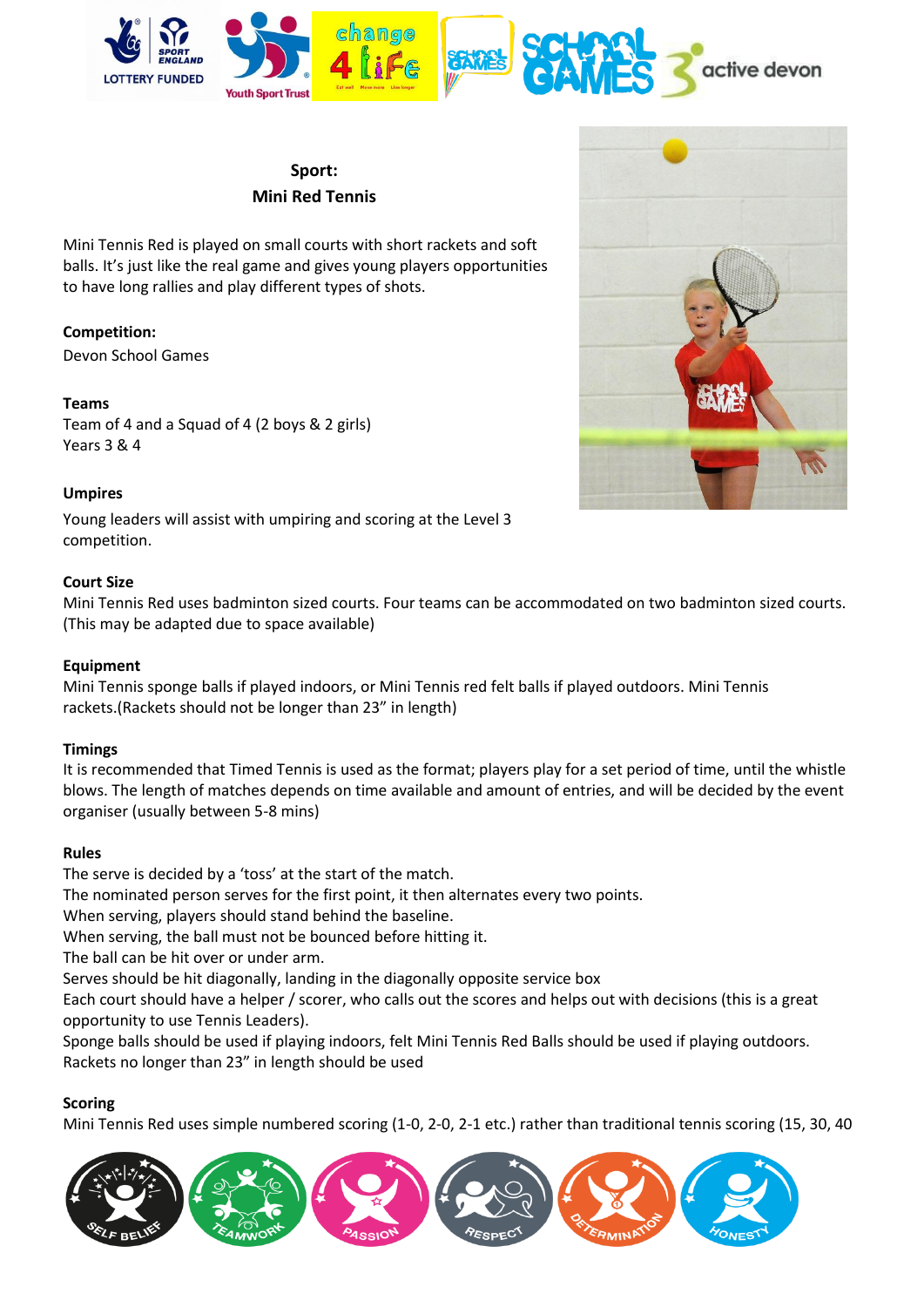

# **Sport: Mini Red Tennis**

Mini Tennis Red is played on small courts with short rackets and soft balls. It's just like the real game and gives young players opportunities to have long rallies and play different types of shots.

## **Competition:**

Devon School Games

## **Teams**

Team of 4 and a Squad of 4 (2 boys & 2 girls) Years 3 & 4



## **Umpires**

Young leaders will assist with umpiring and scoring at the Level 3 competition.

#### **Court Size**

Mini Tennis Red uses badminton sized courts. Four teams can be accommodated on two badminton sized courts. (This may be adapted due to space available)

## **Equipment**

Mini Tennis sponge balls if played indoors, or Mini Tennis red felt balls if played outdoors. Mini Tennis rackets.(Rackets should not be longer than 23" in length)

## **Timings**

It is recommended that Timed Tennis is used as the format; players play for a set period of time, until the whistle blows. The length of matches depends on time available and amount of entries, and will be decided by the event organiser (usually between 5-8 mins)

## **Rules**

The serve is decided by a 'toss' at the start of the match.

The nominated person serves for the first point, it then alternates every two points.

When serving, players should stand behind the baseline.

When serving, the ball must not be bounced before hitting it.

The ball can be hit over or under arm.

Serves should be hit diagonally, landing in the diagonally opposite service box

Each court should have a helper / scorer, who calls out the scores and helps out with decisions (this is a great opportunity to use Tennis Leaders).

Sponge balls should be used if playing indoors, felt Mini Tennis Red Balls should be used if playing outdoors. Rackets no longer than 23" in length should be used

## **Scoring**

Mini Tennis Red uses simple numbered scoring (1-0, 2-0, 2-1 etc.) rather than traditional tennis scoring (15, 30, 40